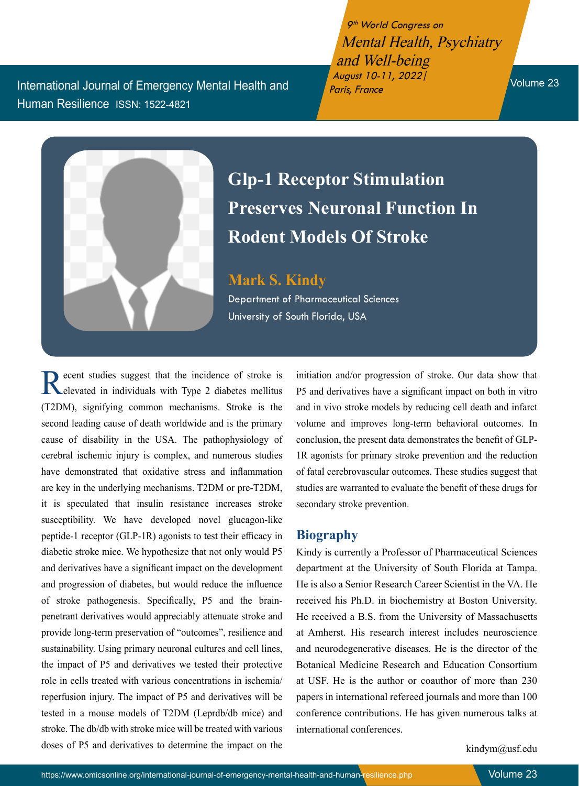International Journal of Emergency Mental Health and Human Resilience ISSN: 1522-4821

9<sup>th</sup> World Congress on Mental Health, Psychiatry and Well-being August 10-11, 2022| Paris, France Volume 23



## **Glp-1 Receptor Stimulation Preserves Neuronal Function In Rodent Models Of Stroke**

**Mark S. Kindy** Department of Pharmaceutical Sciences University of South Florida, USA

Recent studies suggest that the incidence of stroke is elevated in individuals with Type 2 diabetes mellitus (T2DM), signifying common mechanisms. Stroke is the second leading cause of death worldwide and is the primary cause of disability in the USA. The pathophysiology of cerebral ischemic injury is complex, and numerous studies have demonstrated that oxidative stress and inflammation are key in the underlying mechanisms. T2DM or pre-T2DM, it is speculated that insulin resistance increases stroke susceptibility. We have developed novel glucagon-like peptide-1 receptor (GLP-1R) agonists to test their efficacy in diabetic stroke mice. We hypothesize that not only would P5 and derivatives have a significant impact on the development and progression of diabetes, but would reduce the influence of stroke pathogenesis. Specifically, P5 and the brainpenetrant derivatives would appreciably attenuate stroke and provide long-term preservation of "outcomes", resilience and sustainability. Using primary neuronal cultures and cell lines, the impact of P5 and derivatives we tested their protective role in cells treated with various concentrations in ischemia/ reperfusion injury. The impact of P5 and derivatives will be tested in a mouse models of T2DM (Leprdb/db mice) and stroke. The db/db with stroke mice will be treated with various doses of P5 and derivatives to determine the impact on the

initiation and/or progression of stroke. Our data show that P5 and derivatives have a significant impact on both in vitro and in vivo stroke models by reducing cell death and infarct volume and improves long-term behavioral outcomes. In conclusion, the present data demonstrates the benefit of GLP-1R agonists for primary stroke prevention and the reduction of fatal cerebrovascular outcomes. These studies suggest that studies are warranted to evaluate the benefit of these drugs for secondary stroke prevention.

## **Biography**

Kindy is currently a Professor of Pharmaceutical Sciences department at the University of South Florida at Tampa. He is also a Senior Research Career Scientist in the VA. He received his Ph.D. in biochemistry at Boston University. He received a B.S. from the University of Massachusetts at Amherst. His research interest includes neuroscience and neurodegenerative diseases. He is the director of the Botanical Medicine Research and Education Consortium at USF. He is the author or coauthor of more than 230 papers in international refereed journals and more than 100 conference contributions. He has given numerous talks at international conferences.

kindym@usf.edu